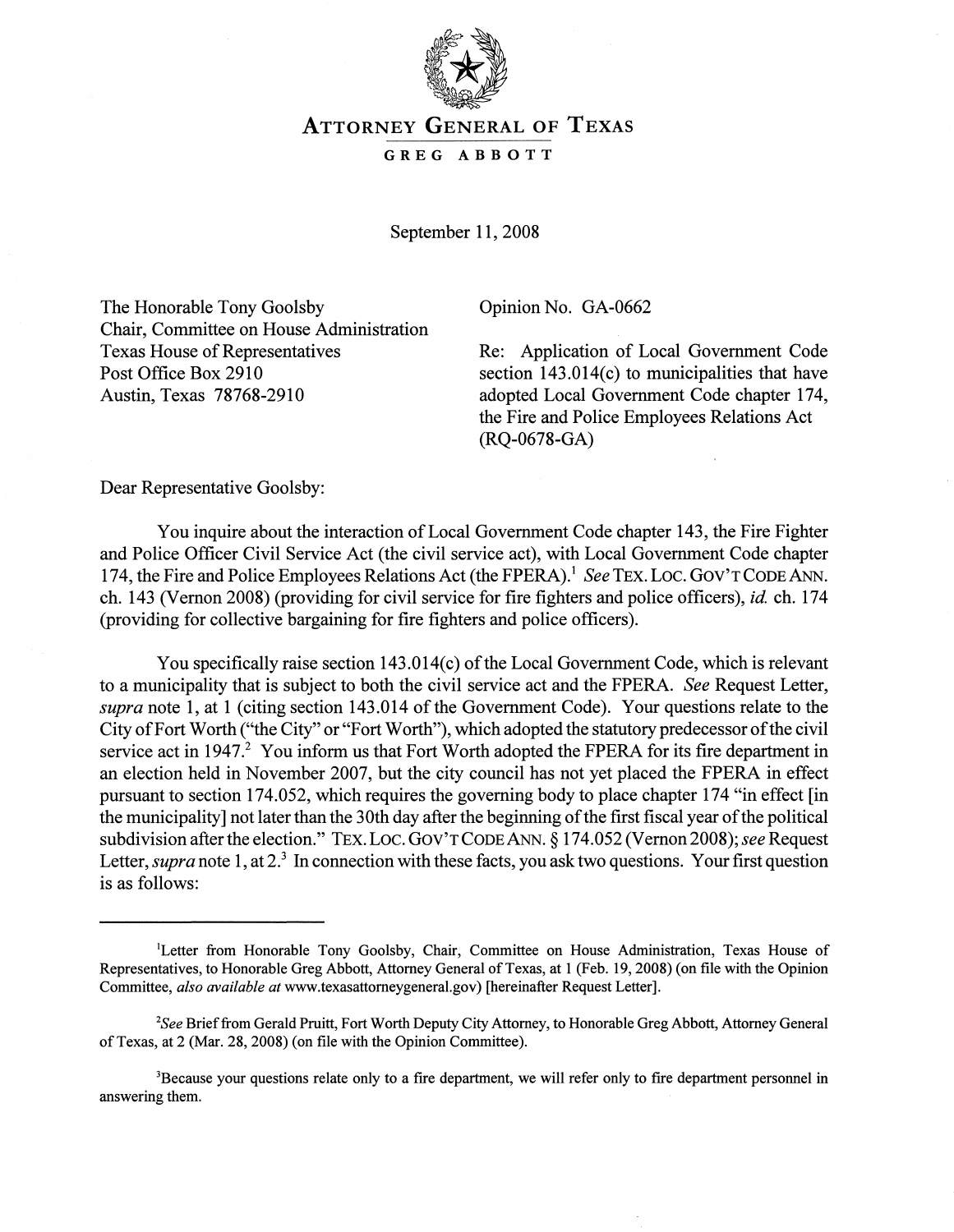

## ATTORNEY GENERAL OF TEXAS

## GREG ABBOTT

September 11, 2008

The Honorable Tony Goolsby Chair, Committee on House Administration Texas House of Representatives Post Office Box 2910 Austin, Texas 78768-2910

Opinion No. GA-0662

Re: Application of Local Government Code section 143.014(c) to municipalities that have adopted Local Government Code chapter 174, the Fire and Police Employees Relations Act (RQ-0678-GA)

Dear Representative Goolsby:

You inquire about the interaction of Local Government Code chapter 143, the Fire Fighter and Police Officer Civil Service Act (the civil service act), with Local Government Code chapter 174, the Fire and Police Employees Relations Act (the FPERA).<sup>1</sup> *See* TEX. LOC. GOV'T CODE ANN. ch. 143 (Vernon 2008) (providing for civil service for fire fighters and police officers), *id* ch. 174 (providing for collective bargaining for fire fighters and police officers).

You specifically raise section  $143.014(c)$  of the Local Government Code, which is relevant to a municipality that is subject to both the civil service act and the FPERA. *See* Request Letter, *supra* note 1, at 1 (citing section 143.014 of the Government Code). Your questions relate to the City of Fort Worth ("the City" or "Fort Worth"), which adopted the statutory predecessor of the civil service act in 1947.<sup>2</sup> You inform us that Fort Worth adopted the FPERA for its fire department in an election held in November 2007, but the city council has not yet placed the FPERA in effect pursuant to section 174.052, which requires the governing body to place chapter 174 "in effect [in the municipality] not later than the 30th day after the beginning of the first fiscal year of the political subdivision after the election." TEX. LOC. GOV'T CODE ANN. § 174.052 (Vernon 2008); see Request Letter, *supra* note 1, at 2<sup>3</sup> In connection with these facts, you ask two questions. Your first question is as follows:

<sup>&</sup>lt;sup>1</sup>Letter from Honorable Tony Goolsby, Chair, Committee on House Administration, Texas House of Representatives, to Honorable Greg Abbott, Attorney General of Texas, at 1 (Feb. 19, 2008) (on file with the Opinion Committee, *also available at* www.texasattorneygeneral.gov) [hereinafter Request Letter].

*<sup>2</sup>See* Brieffrom Gerald Pruitt, Fort Worth Deputy City Attorney, to Honorable Greg Abbott, Attorney General ofTexas, at 2 (Mar. 28, 2008) (on file with the Opinion Committee).

<sup>&</sup>lt;sup>3</sup>Because your questions relate only to a fire department, we will refer only to fire department personnel in answering them.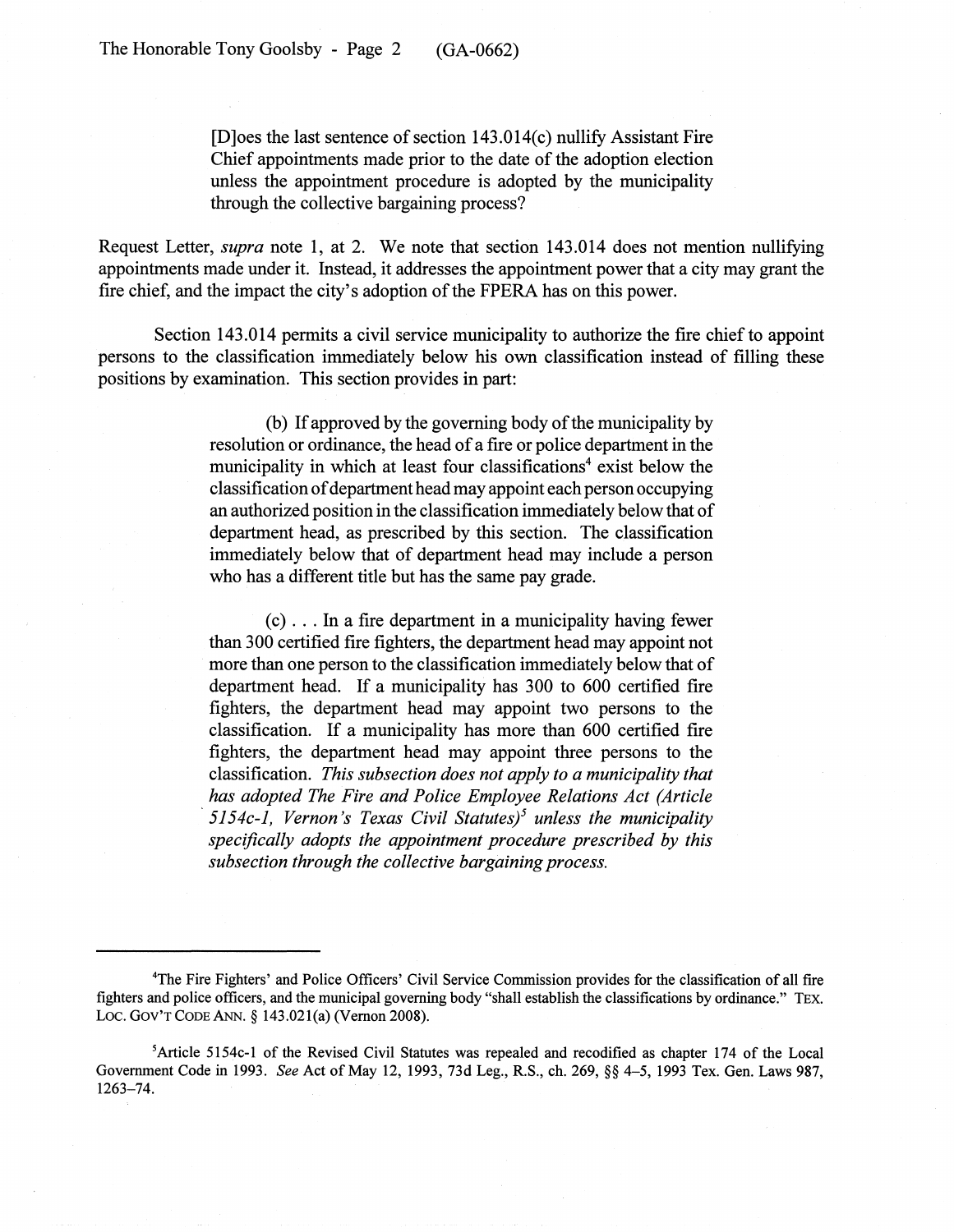[D]oes the last sentence of section  $143.014(c)$  nullify Assistant Fire Chief appointments made prior to the date of the adoption election unless the appointment procedure is adopted by the municipality through the collective bargaining process?

Request Letter, *supra* note 1, at 2. We note that section 143.014 does not mention nullifying appointments made under it. Instead, it addresses the appointment power that a city may grant the fire chief, and the impact the city's adoption of the FPERA has on this power.

Section 143.014 permits a civil service municipality to authorize the fire chief to appoint persons to the classification immediately below his own classification instead of filling these positions by examination. This section provides in part:

> (b) If approved by the governing body of the municipality by resolution or ordinance, the head of a fire or police department in the municipality in which at least four classifications<sup>4</sup> exist below the classification of department head may appoint each person occupying an authorized position in the classification immediately belowthat of department head, as prescribed by this section. The classification immediately below that of department head may include a person who has a different title but has the same pay grade.

> (c) . . . In a fire department in a municipality having fewer than 300 certified fire fighters, the department head may appoint not more than one person to the classification immediately below that of department head. If a municipality has 300 to 600 certified fire fighters, the department head may appoint two persons to the classification. If a municipality has more than 600 certified fire fighters, the department head may appoint three persons to the classification. *This subsection does not apply to a municipality that has·adopted The Fire and Police Employee Relations Act (Article '5154c-l, Vernon's Texas Civil Statutes)5 unless the municipality specifically adopts the appointment procedure prescribed by this subsection through the collective bargaining process.*

<sup>&</sup>lt;sup>4</sup>The Fire Fighters' and Police Officers' Civil Service Commission provides for the classification of all fire fighters and police officers, and the municipal governing body "shall establish the classifications by ordinance." TEX. LOC. GOV'T CODE ANN. § 143.021(a) (Vernon 2008).

<sup>5</sup>Article 5154c-l of the Revised Civil Statutes was repealed and recodified as chapter 174 of the Local Government Code in 1993. *See* Act of May 12, 1993, 73d Leg., R.S., ch. 269, §§ 4-5, 1993 Tex. Gen. Laws 987, 1263-74.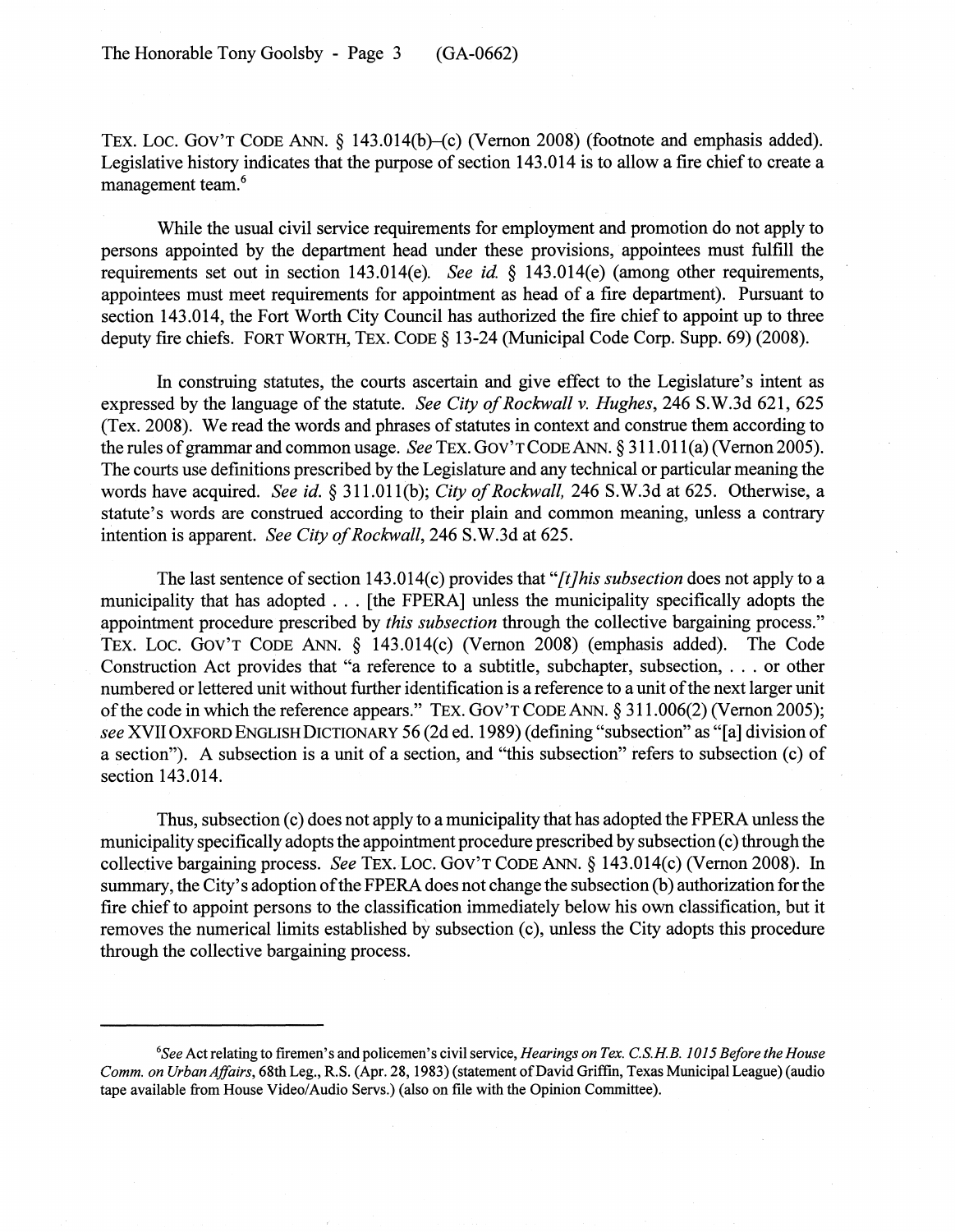TEX. LOC. GOV'T CODE ANN. § 143.014(b)–(c) (Vernon 2008) (footnote and emphasis added). Legislative history indicates that the purpose of section 143.014 is to allow a fire chief to create a management team.<sup>6</sup>

While the usual civil service requirements for employment and promotion do not apply to persons appointed by the department head under these provisions, appointees must fulfill the requirements set out in section 143.014(e). *See id* § 143.014(e) (among other requirements, appointees must meet requirements for appointment as head of a fire department). Pursuant to section 143.014, the Fort Worth City Council has authorized the fire chief to appoint up to three deputy fire chiefs. FORT WORTH, TEX. CODE § 13-24 (Municipal Code Corp. Supp. 69) (2008).

In construing statutes, the courts ascertain and give effect to the Legislature's intent as expressed by the language of the statute. *See City of Rockwall v. Hughes*, 246 S.W.3d 621, 625 (Tex. 2008). We read the words and phrases of statutes in context and construe them according to the rules of grammar and common usage. *See* TEX. GOV'T CODE ANN. § 311.011(a) (Vernon 2005). The courts use definitions prescribed by the Legislature and any technical or particular meaning the words have acquired. *See id.* § 311.011(b); *City of Rockwall*, 246 S.W.3d at 625. Otherwise, a statute's words are construed according to their plain and common meaning, unless a contrary intention is apparent. *See City of Rockwall*, 246 S.W.3d at 625.

The last sentence of section 143.014(c) provides that "[t]his *subsection* does not apply to a municipality that has adopted ... [the FPERA] unless the municipality specifically adopts the appointment procedure prescribed by *this subsection* through the collective bargaining process." TEX. Loc. GOV'T CODE ANN. § 143.014(c) (Vernon 2008) (emphasis added). The Code Construction Act provides that "a reference to <sup>a</sup> subtitle, subchapter, subsection, ... or other numbered or lettered unit without further identification is a reference to a unit of the next larger unit ofthe code in which the reference appears." TEX. GOV'T CODE ANN. § 311.006(2) (Vernon 2005); *see* XVII OXFORD ENGLISH DICTIONARY 56 (2d ed. 1989) (defining "subsection" as "[a] division of a section"). A subsection is a unit of a section, and "this subsection" refers to subsection (c) of section 143.014.

Thus, subsection (c) does not apply to a municipality that has adopted the FPERA unless the municipality specifically adopts the appointment procedure prescribed by subsection (c) through the collective bargaining process. *See* TEX. LOC. GOV'T CODE ANN. § 143.014(c) (Vernon 2008). In summary, the City's adoption of the FPERA does not change the subsection (b) authorization for the fire chief to appoint persons to the classification immediately below his own classification, but it removes the numerical limits established by subsection (c), unless the City adopts this procedure through the collective bargaining process.

*<sup>6</sup>See* Act relating to fIremen's and policemen's civil service, *Hearings on Tex. C.S.HB. 1015 Before the House Comm. on Urban Affairs,* 68th Leg., R.S. (Apr. 28, 1983) (statement ofDavid Griffm, Texas Municipal League) (audio tape available from House Video/Audio Servs.) (also on file with the Opinion Committee).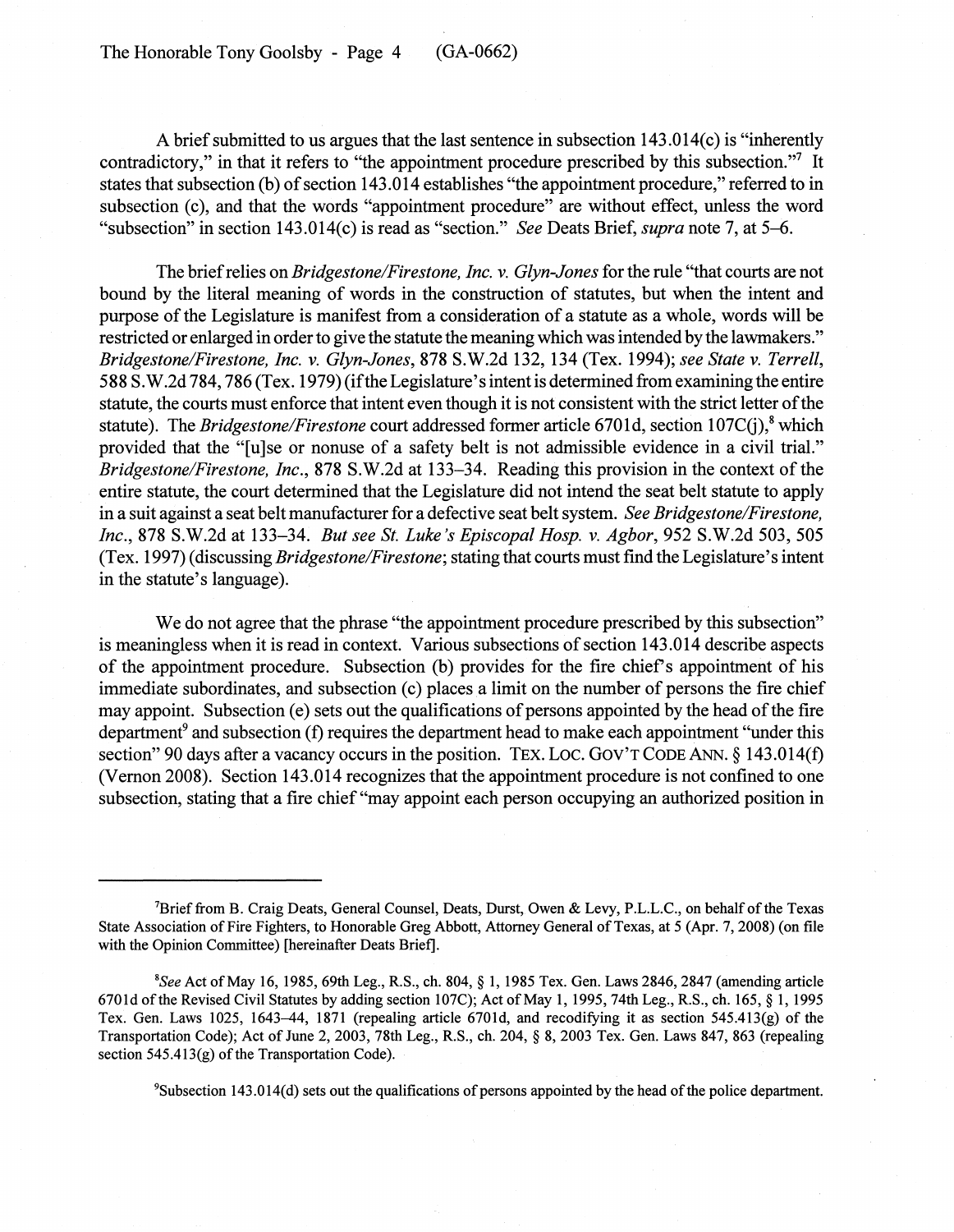The Honorable Tony Goolsby- Page 4 (GA-0662)

A brief submitted to us argues that the last sentence in subsection  $143.014(c)$  is "inherently contradictory," in that it refers to "the appointment procedure prescribed by this subsection."7 It states that subsection (b) of section 143.014 establishes "the appointment procedure," referred to in subsection (c), and that the words "appointment procedure" are without effect, unless the word "subsection" in section 143.014(c) is read as "section." *See* Deats Brief, *supra* note 7, at 5-6.

The briefrelies on *Bridgestone/Firestone, Inc.* v. *Glyn-Jones* for the rule "that courts are not bound by the literal meaning of words in the construction of statutes, but when the intent and purpose of the Legislature is manifest from a consideration of a statute as a whole, words will be restricted or enlarged in order to give the statute the meaning which was intended by the lawmakers." *Bridgestone/Firestone, Inc.* v. *Glyn-Jones,* 878 S.W.2d 132, 134 (Tex. 1994); *see State* v. *Terrell,* 588 S.W.2d 784, 786 (Tex. 1979) (ifthe Legislature'sintent is determined from examining the entire statute, the courts must enforce that intent even though it is not consistent with the strict letter of the statute). The *Bridgestone/Firestone* court addressed former article 6701d, section 107C(j),<sup>8</sup> which provided that the "[u]se or nonuse of a safety belt is not admissible evidence in a civil trial." *Bridgestone/Firestone, Inc.*, 878 S.W.2d at 133–34. Reading this provision in the context of the entire statute, the court determined that the Legislature did not intend the seat belt statute to apply in a suit against a seat belt manufacturer for a defective seat belt system. *See Bridgestone/Firestone*, *Inc.,* 878 S.W.2d at 133-34. *But see St. Luke's Episcopal Hosp.* v. *Agbor,* 952 S.W.2d 503, 505 (Tex. 1997) (discussing *Bridgestone/Firestone;* stating that courts must find the Legislature's intent in the statute's language).

We do not agree that the phrase "the appointment procedure prescribed by this subsection" is meaningless when it is read in context. Various subsections of section 143.014 describe aspects of the appointment procedure. Subsection (b) provides for the fire chief's appointment of his immediate subordinates, and subsection (c) places a limit on the number of persons the fire chief may appoint. Subsection  $(e)$  sets out the qualifications of persons appointed by the head of the fire department<sup>9</sup> and subsection (f) requires the department head to make each appointment "under this section" 90 days after a vacancy occurs in the position. TEX. LOC. GOV'T CODE ANN.  $\S$  143.014(f) (Vernon 2008). Section 143.014 recognizes that the appointment procedure is not confined to one subsection, stating that a fire chief "may appoint each person occupying an authorized position in

<sup>9</sup>Subsection 143.014(d) sets out the qualifications of persons appointed by the head of the police department.

<sup>&</sup>lt;sup>7</sup>Brief from B. Craig Deats, General Counsel, Deats, Durst, Owen & Levy, P.L.L.C., on behalf of the Texas State Association of Fire Fighters, to Honorable Greg Abbott, Attorney General of Texas, at 5 (Apr. 7, 2008) (on file with the Opinion Committee) [hereinafter Deats Brief].

*<sup>8</sup>See* Act ofMay 16, 1985, 69th Leg., R.S., ch. 804, § 1, 1985 Tex. Gen. Laws 2846,2847 (amending article 6701d of the Revised Civil Statutes by adding section 107C); Act of May 1, 1995, 74th Leg., R.S., ch. 165,  $\S$  1, 1995 Tex. Gen. Laws 1025, 1643-44, 1871 (repealing article 6701d, and recodifying it as section 545.413(g) of the Transportation Code); Act of June 2, 2003, 78th Leg., R.S., ch. 204, § 8, 2003 Tex. Gen. Laws 847, 863 (repealing section  $545.413(g)$  of the Transportation Code).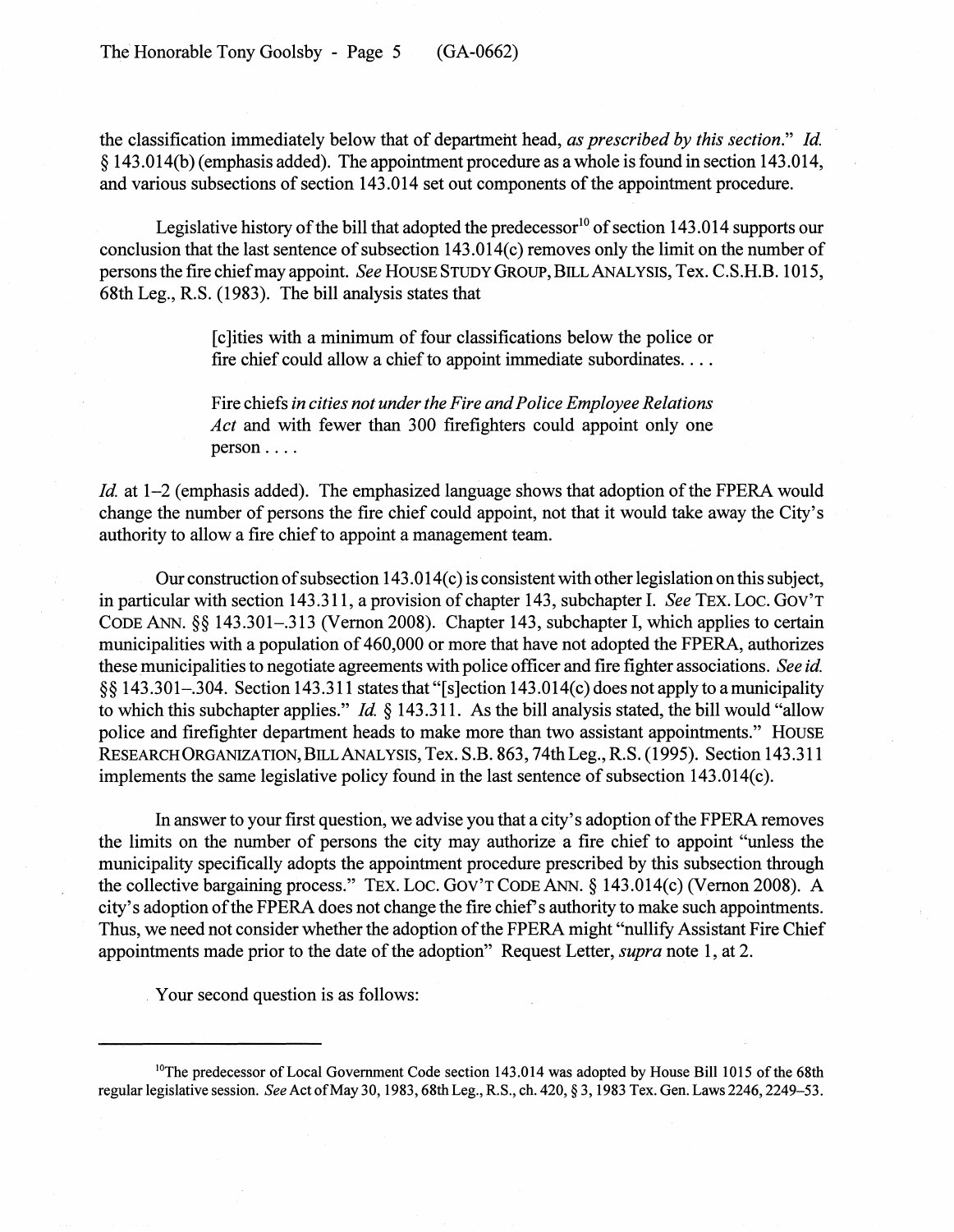the classification immediately below that of department head, *as prescribed by this section." Id.* § 143.014(b) (emphasis added). The appointment procedure as a whole is found in section 143.014, and various subsections of section 143.014 set out components of the appointment procedure.

Legislative history of the bill that adopted the predecessor<sup>10</sup> of section 143.014 supports our conclusion that the last sentence of subsection  $143.014(c)$  removes only the limit on the number of personsthe fire chiefmay appoint. *See* HOUSE STUDY GROUP, BILLANALYSIS, Tex. C.S.H.B. 1015, 68th Leg., R.S. (1983). The bill analysis states that

> [c]ities with a minimum of four classifications below the police or fire chief could allow a chief to appoint immediate subordinates.  $\dots$

> Fire chiefs *in cities not underthe Fire andPolice Employee Relations Act* and with fewer than 300 firefighters could appoint only one person ....

*Id.* at 1–2 (emphasis added). The emphasized language shows that adoption of the FPERA would change the number of persons the fire chief could appoint, not that it would take away the City's authority to allow a fire chief to appoint a management team.

Our construction of subsection  $143.014(c)$  is consistent with other legislation on this subject, in particular with section 143.311, a provision of chapter 143, subchapter I. *See* TEX. Loc. GOV'T CODE ANN. §§ 143.301-.313 (Vernon 2008). Chapter 143, subchapter I, which applies to certain municipalities with a population of 460,000 or more that have not adopted the FPERA, authorizes these municipalities to negotiate agreements with police officer and fire fighter associations. *See id.* §§ 143.301-.304. Section 143.311 statesthat "[s]ection 143.014(c) does not apply to a municipality to which this subchapter applies." *Id* § 143.311. As the bill analysis stated, the bill would "allow police and firefighter department heads to make more than two assistant appointments." HOUSE RESEARCH ORGANIZATION, BILLANALYSIS, Tex. S.B. 863, 74thLeg.,R.S. (1995). Section 143.311 implements the same legislative policy found in the last sentence of subsection  $143.014(c)$ .

In answer to your first question, we advise you that a city's adoption of the FPERA removes the limits on the number of persons the city may authorize a fire chief to appoint "unless the municipality specifically adopts the appointment procedure prescribed by this subsection through the collective bargaining process." TEX. Loc. GOV'T CODE ANN. § 143.014(c) (Vernon 2008). A city's adoption of the FPERA does not change the fire chief's authority to make such appointments. Thus, we need not consider whether the adoption of the FPERA might "nullify Assistant Fire Chief appointments made prior to the date of the adoption" Request Letter, *supra* note 1, at 2.

, Your second question is as follows:

<sup>&</sup>lt;sup>10</sup>The predecessor of Local Government Code section 143.014 was adopted by House Bill 1015 of the 68th regular legislative session. *See* Act ofMay 30, 1983, 68th Leg., R.S., ch. 420, § 3, 1983 Tex. Gen. Laws 2246, 2249-53.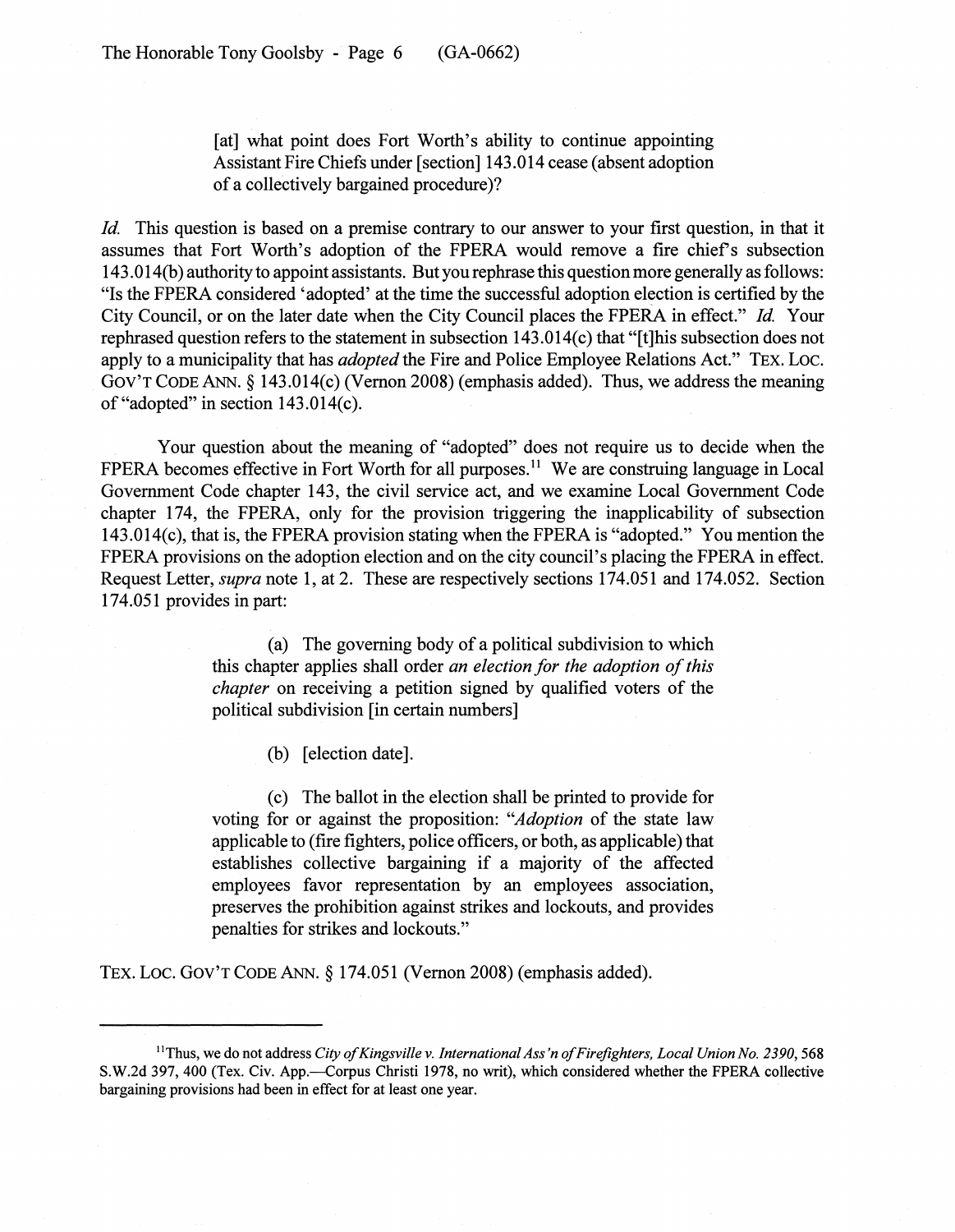[at] what point does Fort Worth's ability to continue appointing Assistant Fire Chiefs under [section] 143.014 cease (absent adoption of a collectively bargained procedure)?

*Id.* This question is based on a premise contrary to our answer to your first question, in that it assumes that Fort Worth's adoption of the FPERA would remove a fire chief's subsection 143.014(b) authority to appoint assistants. Butyou rephrase this question more generally asfollows: "Is the FPERA considered 'adopted' at the time the successful adoption election is certified by the City Council, or on the later date when the City Council places the FPERA in effect." *Id.* Your rephrased question refers to the statement in subsection 143.014(c) that "[t]his subsection does not apply to a municipality that has *adopted* the Fire and Police Employee Relations Act." TEx. Loc. GOV'T CODE ANN. § 143.014(c) (Vernon 2008) (emphasis added). Thus, we address the meaning of "adopted" in section 143.014(c).

Your question about the meaning of "adopted" does not require us to decide when the FPERA becomes effective in Fort Worth for all purposes.<sup>11</sup> We are construing language in Local Government Code chapter 143, the civil service act, and we examine Local Government Code chapter 174, the FPERA, only for the provision triggering the inapplicability of subsection 143.014(c), that is, the FPERA provision stating when the FPERA is "adopted." You mention the FPERA provisions on the adoption election and on the city council's placing the FPERA in effect. Request Letter, *supra* note 1, at 2. These are respectively sections 174.051 and 174.052. Section 174.051 provides in part:

> (a) The governing body of a political subdivision to which this chapter applies shall order *an election for the adoption of this chapter* on receiving a petition signed by qualified voters of the political subdivision [in certain numbers]

> > (b) [election date].

(c) The ballot in the election shall be printed to provide for voting for or against the proposition: *"Adoption* of the state law applicable to (fire fighters, police officers, or both, as applicable) that establishes collective bargaining if a majority of the affected employees favor representation by an employees association, preserves the prohibition against strikes and lockouts, and provides penalties for strikes and lockouts."

TEX. Loc. GOV'T CODE ANN. § 174.051 (Vernon 2008) (emphasis added).

<sup>11</sup>Thus, we do not address *City 0/Kingsville* v. *International Ass'n o/Firefighters, Local Union No. 2390, 568* S.W.2d 397, 400 (Tex. Civ. App.--Corpus Christi 1978, no writ), which considered whether the FPERA collective bargaining provisions had been in effect for at least one year.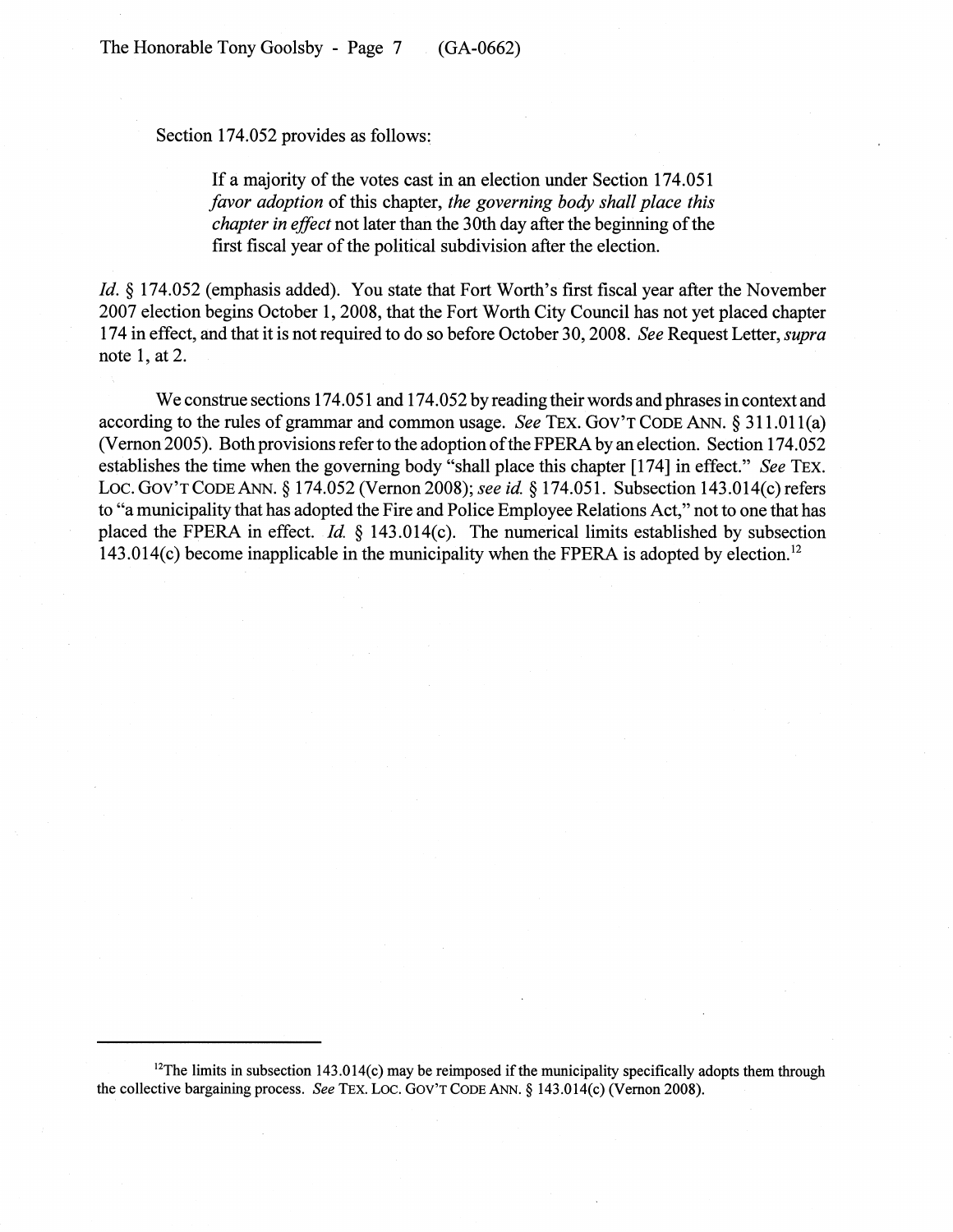Section 174.052 provides as follows:

If a majority of the votes cast in an election under Section 174.051 *favor adoption* of this chapter, *the governing body shall place this chapter in effect* not later than the 30th day after the beginning of the first fiscal year of the political subdivision after the election.

*Id.* § 174.052 (emphasis added). You state that Fort Worth's first fiscal year after the November 2007 election begins October 1, 2008, that the Fort Worth City Council has not yet placed chapter 174 in effect, and that it is not required to do so before October 30, 2008. *See* Request Letter, *supra* note 1, at 2.

We construe sections 174.051 and 174.052 by reading their words and phrases in context and according to the rules of grammar and common usage. *See* TEX. GOV'T CODE ANN. § 311.011(a) (Vernon 2005). Both provisions refer to the adoption of the FPERA by an election. Section 174.052 establishes the time when the governing body "shall place this chapter [174] in effect." *See* TEX. Loc. GOV'T CODE ANN. § 174.052 (Vernon 2008); *see id* § 174.051. Subsection 143.014(c) refers to "a municipality that has adopted the Fire and Police Employee Relations Act," not to one that has placed the FPERA in effect. *Id* § 143.014(c). The numerical limits established by subsection 143.014(c) become inapplicable in the municipality when the FPERA is adopted by election. <sup>12</sup>

 $12$ The limits in subsection 143.014(c) may be reimposed if the municipality specifically adopts them through the collective bargaining process. *See* TEX. LOC. GOV'T CODE ANN. § 143.014(c) (Vernon 2008).